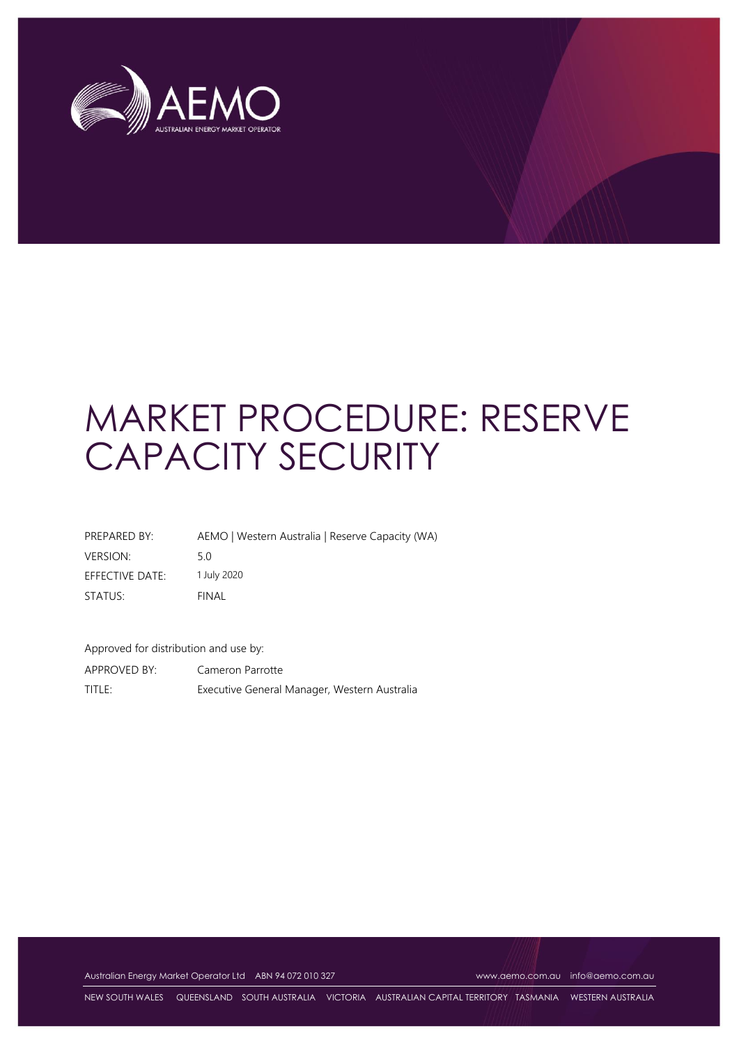

# MARKET PROCEDURE: RESERVE CAPACITY SECURITY

| PREPARED BY:    | AEMO   Western Australia   Reserve Capacity (WA) |
|-----------------|--------------------------------------------------|
| <b>VERSION:</b> | 5 O                                              |
| EFFECTIVE DATE: | 1 July 2020                                      |
| STATUS:         | FINAL                                            |

Approved for distribution and use by: APPROVED BY: Cameron Parrotte TITLE: Executive General Manager, Western Australia

Australian Energy Market Operator Ltd ABN 94 072 010 327 [www.aemo.com.au](http://www.aemo.com.au/) [info@aemo.com.au](mailto:info@aemo.com.au)

NEW SOUTH WALES QUEENSLAND SOUTH AUSTRALIA VICTORIA AUSTRALIAN CAPITAL TERRITORY TASMANIA WESTERN AUSTRALIA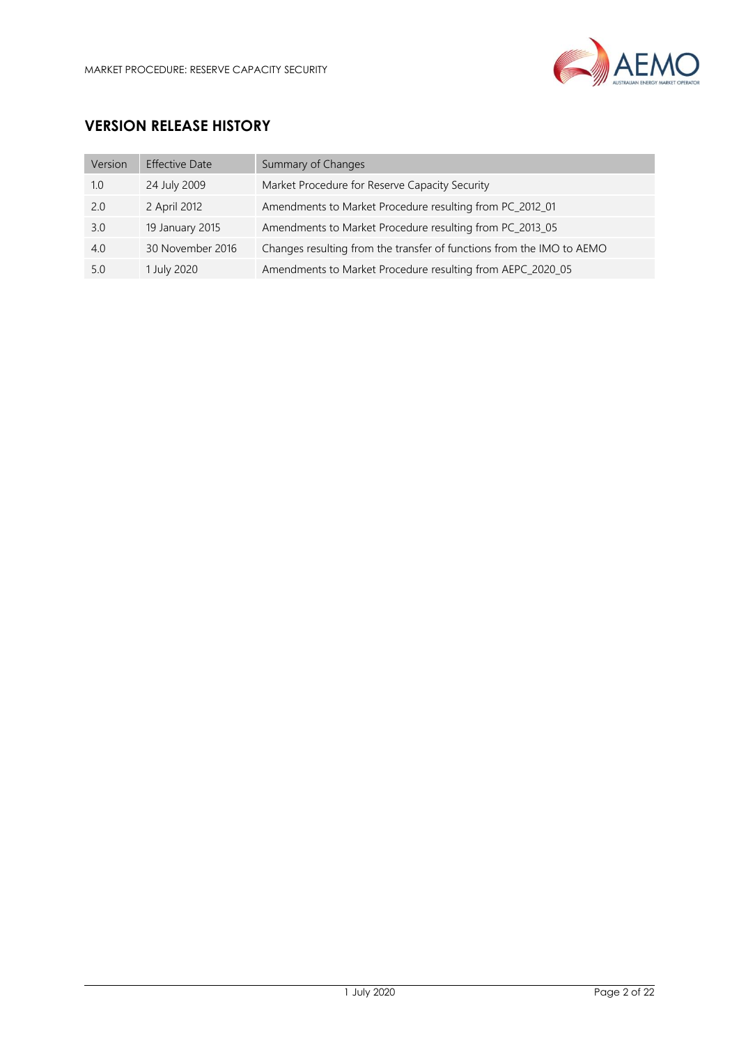

# **VERSION RELEASE HISTORY**

| Version | <b>Effective Date</b> | Summary of Changes                                                    |
|---------|-----------------------|-----------------------------------------------------------------------|
| 1.0     | 24 July 2009          | Market Procedure for Reserve Capacity Security                        |
| 2.0     | 2 April 2012          | Amendments to Market Procedure resulting from PC_2012_01              |
| 3.0     | 19 January 2015       | Amendments to Market Procedure resulting from PC_2013_05              |
| 4.0     | 30 November 2016      | Changes resulting from the transfer of functions from the IMO to AEMO |
| 5.0     | 1 July 2020           | Amendments to Market Procedure resulting from AEPC_2020_05            |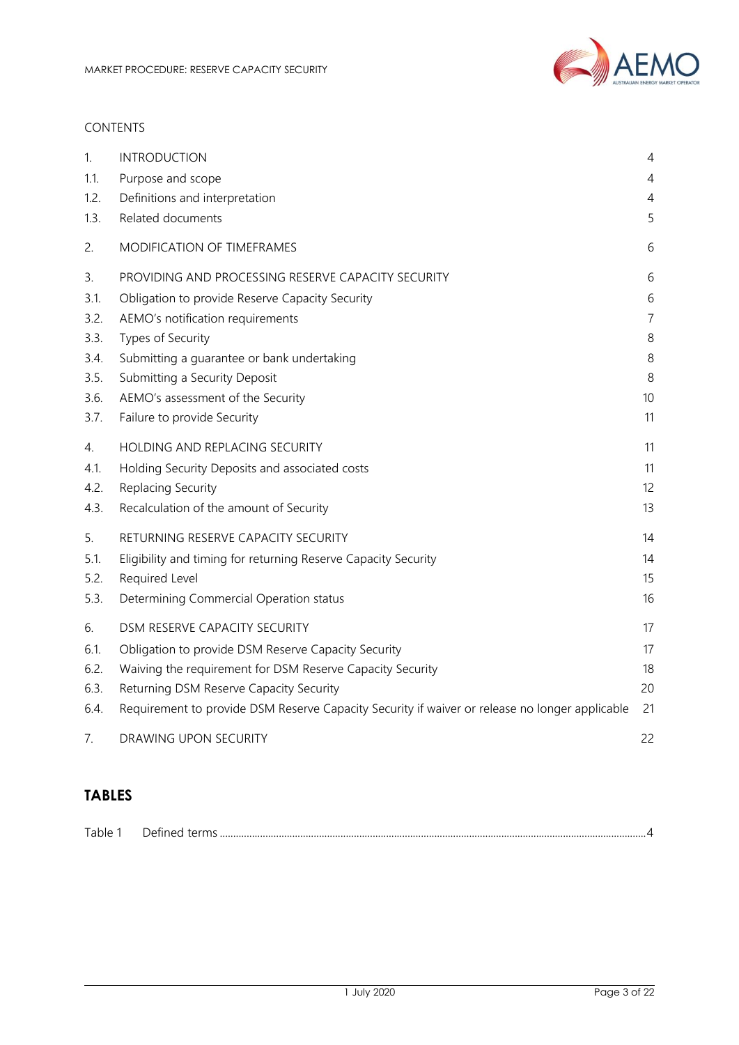

#### CONTENTS

| 1.   | <b>INTRODUCTION</b>                                                                            | 4              |
|------|------------------------------------------------------------------------------------------------|----------------|
| 1.1. | Purpose and scope                                                                              | 4              |
| 1.2. | Definitions and interpretation                                                                 | 4              |
| 1.3. | Related documents                                                                              | 5              |
| 2.   | MODIFICATION OF TIMEFRAMES                                                                     | 6              |
| 3.   | PROVIDING AND PROCESSING RESERVE CAPACITY SECURITY                                             | 6              |
| 3.1. | Obligation to provide Reserve Capacity Security                                                | 6              |
| 3.2. | AEMO's notification requirements                                                               | $\overline{7}$ |
| 3.3. | Types of Security                                                                              | 8              |
| 3.4. | Submitting a guarantee or bank undertaking                                                     | $\,8\,$        |
| 3.5. | Submitting a Security Deposit                                                                  | 8              |
| 3.6. | AEMO's assessment of the Security                                                              | 10             |
| 3.7. | Failure to provide Security                                                                    | 11             |
| 4.   | HOLDING AND REPLACING SECURITY                                                                 | 11             |
| 4.1. | Holding Security Deposits and associated costs                                                 | 11             |
| 4.2. | Replacing Security                                                                             | 12             |
| 4.3. | Recalculation of the amount of Security                                                        | 13             |
| 5.   | RETURNING RESERVE CAPACITY SECURITY                                                            | 14             |
| 5.1. | Eligibility and timing for returning Reserve Capacity Security                                 | 14             |
| 5.2. | Required Level                                                                                 | 15             |
| 5.3. | Determining Commercial Operation status                                                        | 16             |
| 6.   | DSM RESERVE CAPACITY SECURITY                                                                  | 17             |
| 6.1. | Obligation to provide DSM Reserve Capacity Security                                            | 17             |
| 6.2. | Waiving the requirement for DSM Reserve Capacity Security                                      | 18             |
| 6.3. | Returning DSM Reserve Capacity Security                                                        | 20             |
| 6.4. | Requirement to provide DSM Reserve Capacity Security if waiver or release no longer applicable | 21             |
| 7.   | DRAWING UPON SECURITY                                                                          | 22             |

# **TABLES**

| $\overline{\phantom{a}}$<br>$1.41$ He |  |
|---------------------------------------|--|
|                                       |  |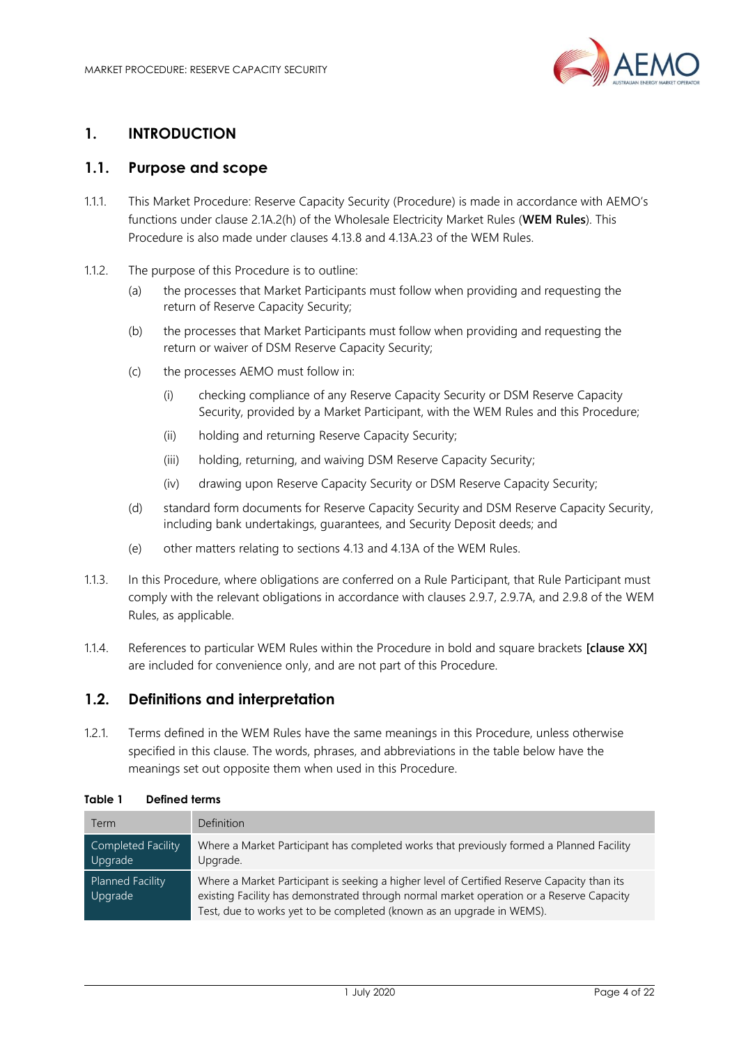

# <span id="page-3-0"></span>**1. INTRODUCTION**

## <span id="page-3-1"></span>**1.1. Purpose and scope**

- 1.1.1. This Market Procedure: Reserve Capacity Security (Procedure) is made in accordance with AEMO's functions under clause 2.1A.2(h) of the Wholesale Electricity Market Rules (**WEM Rules**). This Procedure is also made under clauses 4.13.8 and 4.13A.23 of the WEM Rules.
- 1.1.2. The purpose of this Procedure is to outline:
	- (a) the processes that Market Participants must follow when providing and requesting the return of Reserve Capacity Security;
	- (b) the processes that Market Participants must follow when providing and requesting the return or waiver of DSM Reserve Capacity Security;
	- (c) the processes AEMO must follow in:
		- (i) checking compliance of any Reserve Capacity Security or DSM Reserve Capacity Security, provided by a Market Participant, with the WEM Rules and this Procedure;
		- (ii) holding and returning Reserve Capacity Security;
		- (iii) holding, returning, and waiving DSM Reserve Capacity Security;
		- (iv) drawing upon Reserve Capacity Security or DSM Reserve Capacity Security;
	- (d) standard form documents for Reserve Capacity Security and DSM Reserve Capacity Security, including bank undertakings, guarantees, and Security Deposit deeds; and
	- (e) other matters relating to sections 4.13 and 4.13A of the WEM Rules.
- 1.1.3. In this Procedure, where obligations are conferred on a Rule Participant, that Rule Participant must comply with the relevant obligations in accordance with clauses 2.9.7, 2.9.7A, and 2.9.8 of the WEM Rules, as applicable.
- 1.1.4. References to particular WEM Rules within the Procedure in bold and square brackets **[clause XX]** are included for convenience only, and are not part of this Procedure.

#### <span id="page-3-2"></span>**1.2. Definitions and interpretation**

1.2.1. Terms defined in the WEM Rules have the same meanings in this Procedure, unless otherwise specified in this clause. The words, phrases, and abbreviations in the table below have the meanings set out opposite them when used in this Procedure.

| <b>Term</b>                   | Definition                                                                                                                                                                                                                                                       |
|-------------------------------|------------------------------------------------------------------------------------------------------------------------------------------------------------------------------------------------------------------------------------------------------------------|
| Completed Facility<br>Upgrade | Where a Market Participant has completed works that previously formed a Planned Facility<br>Upgrade.                                                                                                                                                             |
| Planned Facility<br>Upgrade   | Where a Market Participant is seeking a higher level of Certified Reserve Capacity than its<br>existing Facility has demonstrated through normal market operation or a Reserve Capacity<br>Test, due to works yet to be completed (known as an upgrade in WEMS). |

#### <span id="page-3-3"></span>**Table 1 Defined terms**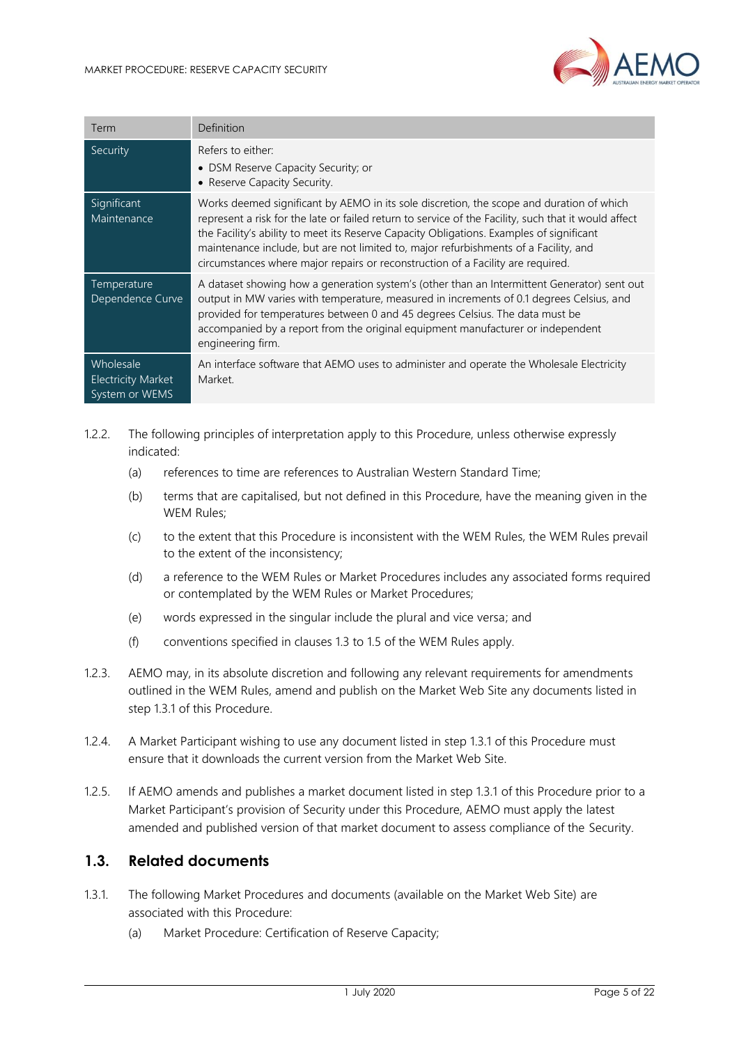

| Term                                                     | Definition                                                                                                                                                                                                                                                                                                                                                                                                                                                              |
|----------------------------------------------------------|-------------------------------------------------------------------------------------------------------------------------------------------------------------------------------------------------------------------------------------------------------------------------------------------------------------------------------------------------------------------------------------------------------------------------------------------------------------------------|
| Security                                                 | Refers to either:<br>• DSM Reserve Capacity Security; or<br>• Reserve Capacity Security.                                                                                                                                                                                                                                                                                                                                                                                |
| Significant<br>Maintenance                               | Works deemed significant by AEMO in its sole discretion, the scope and duration of which<br>represent a risk for the late or failed return to service of the Facility, such that it would affect<br>the Facility's ability to meet its Reserve Capacity Obligations. Examples of significant<br>maintenance include, but are not limited to, major refurbishments of a Facility, and<br>circumstances where major repairs or reconstruction of a Facility are required. |
| Temperature<br>Dependence Curve                          | A dataset showing how a generation system's (other than an Intermittent Generator) sent out<br>output in MW varies with temperature, measured in increments of 0.1 degrees Celsius, and<br>provided for temperatures between 0 and 45 degrees Celsius. The data must be<br>accompanied by a report from the original equipment manufacturer or independent<br>engineering firm.                                                                                         |
| Wholesale<br><b>Electricity Market</b><br>System or WEMS | An interface software that AEMO uses to administer and operate the Wholesale Electricity<br>Market.                                                                                                                                                                                                                                                                                                                                                                     |

- 1.2.2. The following principles of interpretation apply to this Procedure, unless otherwise expressly indicated:
	- (a) references to time are references to Australian Western Standard Time;
	- (b) terms that are capitalised, but not defined in this Procedure, have the meaning given in the WEM Rules;
	- (c) to the extent that this Procedure is inconsistent with the WEM Rules, the WEM Rules prevail to the extent of the inconsistency;
	- (d) a reference to the WEM Rules or Market Procedures includes any associated forms required or contemplated by the WEM Rules or Market Procedures;
	- (e) words expressed in the singular include the plural and vice versa; and
	- (f) conventions specified in clauses 1.3 to 1.5 of the WEM Rules apply.
- 1.2.3. AEMO may, in its absolute discretion and following any relevant requirements for amendments outlined in the WEM Rules, amend and publish on the Market Web Site any documents listed in step 1.3.1 of this Procedure.
- 1.2.4. A Market Participant wishing to use any document listed in step 1.3.1 of this Procedure must ensure that it downloads the current version from the Market Web Site.
- 1.2.5. If AEMO amends and publishes a market document listed in step 1.3.1 of this Procedure prior to a Market Participant's provision of Security under this Procedure, AEMO must apply the latest amended and published version of that market document to assess compliance of the Security.

#### <span id="page-4-0"></span>**1.3. Related documents**

- 1.3.1. The following Market Procedures and documents (available on the Market Web Site) are associated with this Procedure:
	- (a) Market Procedure: Certification of Reserve Capacity;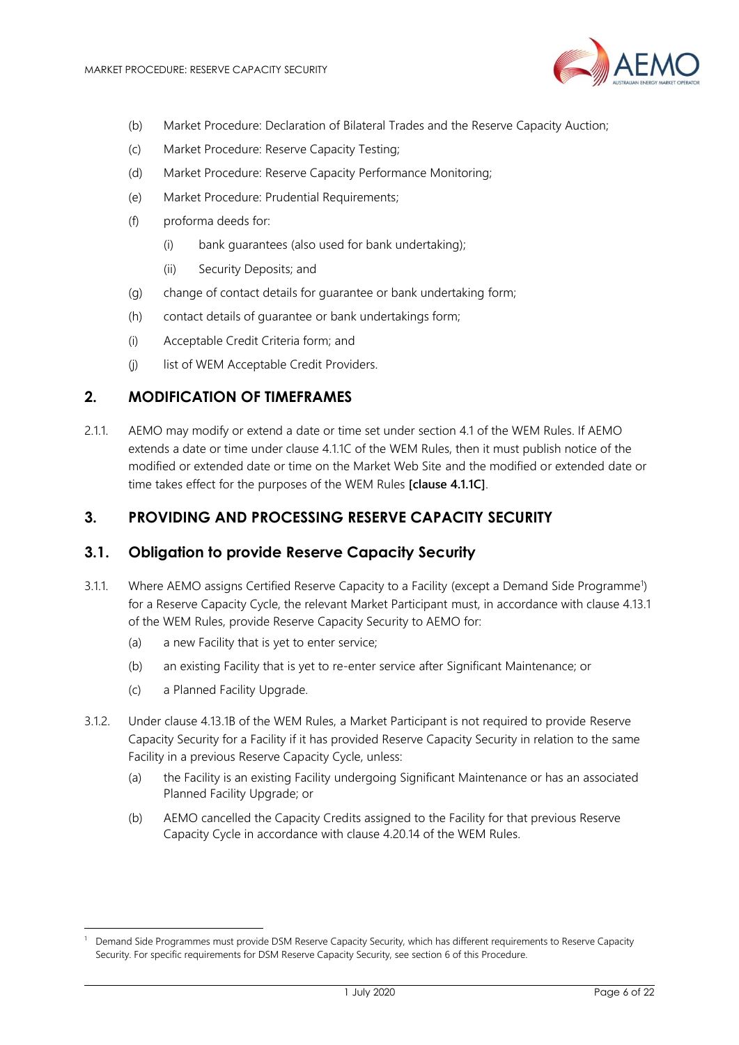

- (b) Market Procedure: Declaration of Bilateral Trades and the Reserve Capacity Auction;
- (c) Market Procedure: Reserve Capacity Testing;
- (d) Market Procedure: Reserve Capacity Performance Monitoring;
- (e) Market Procedure: Prudential Requirements;
- (f) proforma deeds for:
	- (i) bank guarantees (also used for bank undertaking);
	- (ii) Security Deposits; and
- (g) change of contact details for guarantee or bank undertaking form;
- (h) contact details of guarantee or bank undertakings form;
- (i) Acceptable Credit Criteria form; and
- (j) list of WEM Acceptable Credit Providers.

#### <span id="page-5-0"></span>**2. MODIFICATION OF TIMEFRAMES**

2.1.1. AEMO may modify or extend a date or time set under section 4.1 of the WEM Rules. If AEMO extends a date or time under clause 4.1.1C of the WEM Rules, then it must publish notice of the modified or extended date or time on the Market Web Site and the modified or extended date or time takes effect for the purposes of the WEM Rules **[clause 4.1.1C]**.

## <span id="page-5-1"></span>**3. PROVIDING AND PROCESSING RESERVE CAPACITY SECURITY**

#### <span id="page-5-2"></span>**3.1. Obligation to provide Reserve Capacity Security**

- 3.1.1. Where AEMO assigns Certified Reserve Capacity to a Facility (except a Demand Side Programme<sup>1</sup>) for a Reserve Capacity Cycle, the relevant Market Participant must, in accordance with clause 4.13.1 of the WEM Rules, provide Reserve Capacity Security to AEMO for:
	- (a) a new Facility that is yet to enter service;
	- (b) an existing Facility that is yet to re-enter service after Significant Maintenance; or
	- (c) a Planned Facility Upgrade.
- 3.1.2. Under clause 4.13.1B of the WEM Rules, a Market Participant is not required to provide Reserve Capacity Security for a Facility if it has provided Reserve Capacity Security in relation to the same Facility in a previous Reserve Capacity Cycle, unless:
	- (a) the Facility is an existing Facility undergoing Significant Maintenance or has an associated Planned Facility Upgrade; or
	- (b) AEMO cancelled the Capacity Credits assigned to the Facility for that previous Reserve Capacity Cycle in accordance with clause 4.20.14 of the WEM Rules.

<sup>1</sup> Demand Side Programmes must provide DSM Reserve Capacity Security, which has different requirements to Reserve Capacity Security. For specific requirements for DSM Reserve Capacity Security, see section 6 of this Procedure.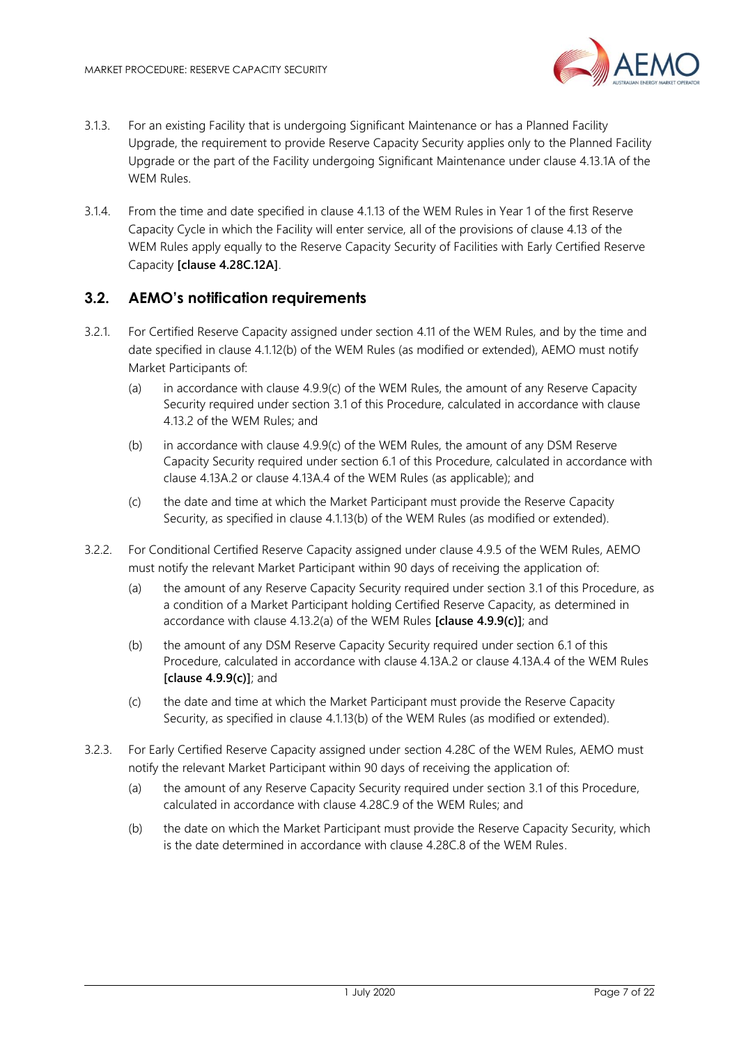

- 3.1.3. For an existing Facility that is undergoing Significant Maintenance or has a Planned Facility Upgrade, the requirement to provide Reserve Capacity Security applies only to the Planned Facility Upgrade or the part of the Facility undergoing Significant Maintenance under clause 4.13.1A of the WEM Rules.
- 3.1.4. From the time and date specified in clause 4.1.13 of the WEM Rules in Year 1 of the first Reserve Capacity Cycle in which the Facility will enter service, all of the provisions of clause 4.13 of the WEM Rules apply equally to the Reserve Capacity Security of Facilities with Early Certified Reserve Capacity **[clause 4.28C.12A]**.

## <span id="page-6-0"></span>**3.2. AEMO's notification requirements**

- 3.2.1. For Certified Reserve Capacity assigned under section 4.11 of the WEM Rules, and by the time and date specified in clause 4.1.12(b) of the WEM Rules (as modified or extended), AEMO must notify Market Participants of:
	- (a) in accordance with clause 4.9.9(c) of the WEM Rules, the amount of any Reserve Capacity Security required under section 3.1 of this Procedure, calculated in accordance with clause 4.13.2 of the WEM Rules; and
	- (b) in accordance with clause 4.9.9(c) of the WEM Rules, the amount of any DSM Reserve Capacity Security required under section 6.1 of this Procedure, calculated in accordance with clause 4.13A.2 or clause 4.13A.4 of the WEM Rules (as applicable); and
	- (c) the date and time at which the Market Participant must provide the Reserve Capacity Security, as specified in clause 4.1.13(b) of the WEM Rules (as modified or extended).
- 3.2.2. For Conditional Certified Reserve Capacity assigned under clause 4.9.5 of the WEM Rules, AEMO must notify the relevant Market Participant within 90 days of receiving the application of:
	- (a) the amount of any Reserve Capacity Security required under section 3.1 of this Procedure, as a condition of a Market Participant holding Certified Reserve Capacity, as determined in accordance with clause 4.13.2(a) of the WEM Rules **[clause 4.9.9(c)]**; and
	- (b) the amount of any DSM Reserve Capacity Security required under section 6.1 of this Procedure, calculated in accordance with clause 4.13A.2 or clause 4.13A.4 of the WEM Rules **[clause 4.9.9(c)]**; and
	- (c) the date and time at which the Market Participant must provide the Reserve Capacity Security, as specified in clause 4.1.13(b) of the WEM Rules (as modified or extended).
- 3.2.3. For Early Certified Reserve Capacity assigned under section 4.28C of the WEM Rules, AEMO must notify the relevant Market Participant within 90 days of receiving the application of:
	- (a) the amount of any Reserve Capacity Security required under section 3.1 of this Procedure, calculated in accordance with clause 4.28C.9 of the WEM Rules; and
	- (b) the date on which the Market Participant must provide the Reserve Capacity Security, which is the date determined in accordance with clause 4.28C.8 of the WEM Rules.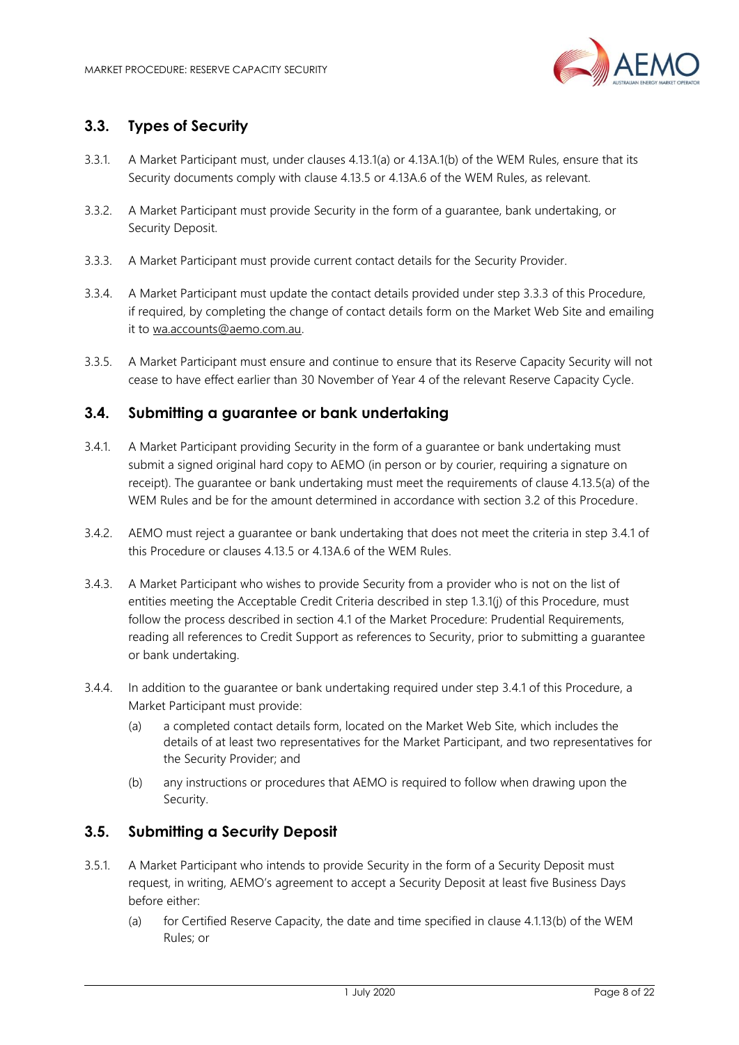

# <span id="page-7-0"></span>**3.3. Types of Security**

- 3.3.1. A Market Participant must, under clauses 4.13.1(a) or 4.13A.1(b) of the WEM Rules, ensure that its Security documents comply with clause 4.13.5 or 4.13A.6 of the WEM Rules, as relevant.
- 3.3.2. A Market Participant must provide Security in the form of a guarantee, bank undertaking, or Security Deposit.
- 3.3.3. A Market Participant must provide current contact details for the Security Provider.
- 3.3.4. A Market Participant must update the contact details provided under step 3.3.3 of this Procedure, if required, by completing the change of contact details form on the Market Web Site and emailing it to [wa.accounts@aemo.com.au.](mailto:wa.accounts@aemo.com.au)
- 3.3.5. A Market Participant must ensure and continue to ensure that its Reserve Capacity Security will not cease to have effect earlier than 30 November of Year 4 of the relevant Reserve Capacity Cycle.

#### <span id="page-7-1"></span>**3.4. Submitting a guarantee or bank undertaking**

- 3.4.1. A Market Participant providing Security in the form of a guarantee or bank undertaking must submit a signed original hard copy to AEMO (in person or by courier, requiring a signature on receipt). The guarantee or bank undertaking must meet the requirements of clause 4.13.5(a) of the WEM Rules and be for the amount determined in accordance with section 3.2 of this Procedure.
- 3.4.2. AEMO must reject a guarantee or bank undertaking that does not meet the criteria in step 3.4.1 of this Procedure or clauses 4.13.5 or 4.13A.6 of the WEM Rules.
- 3.4.3. A Market Participant who wishes to provide Security from a provider who is not on the list of entities meeting the Acceptable Credit Criteria described in step 1.3.1(j) of this Procedure, must follow the process described in section 4.1 of the Market Procedure: Prudential Requirements, reading all references to Credit Support as references to Security, prior to submitting a guarantee or bank undertaking.
- 3.4.4. In addition to the guarantee or bank undertaking required under step 3.4.1 of this Procedure, a Market Participant must provide:
	- (a) a completed contact details form, located on the Market Web Site, which includes the details of at least two representatives for the Market Participant, and two representatives for the Security Provider; and
	- (b) any instructions or procedures that AEMO is required to follow when drawing upon the Security.

#### <span id="page-7-2"></span>**3.5. Submitting a Security Deposit**

- 3.5.1. A Market Participant who intends to provide Security in the form of a Security Deposit must request, in writing, AEMO's agreement to accept a Security Deposit at least five Business Days before either:
	- (a) for Certified Reserve Capacity, the date and time specified in clause 4.1.13(b) of the WEM Rules; or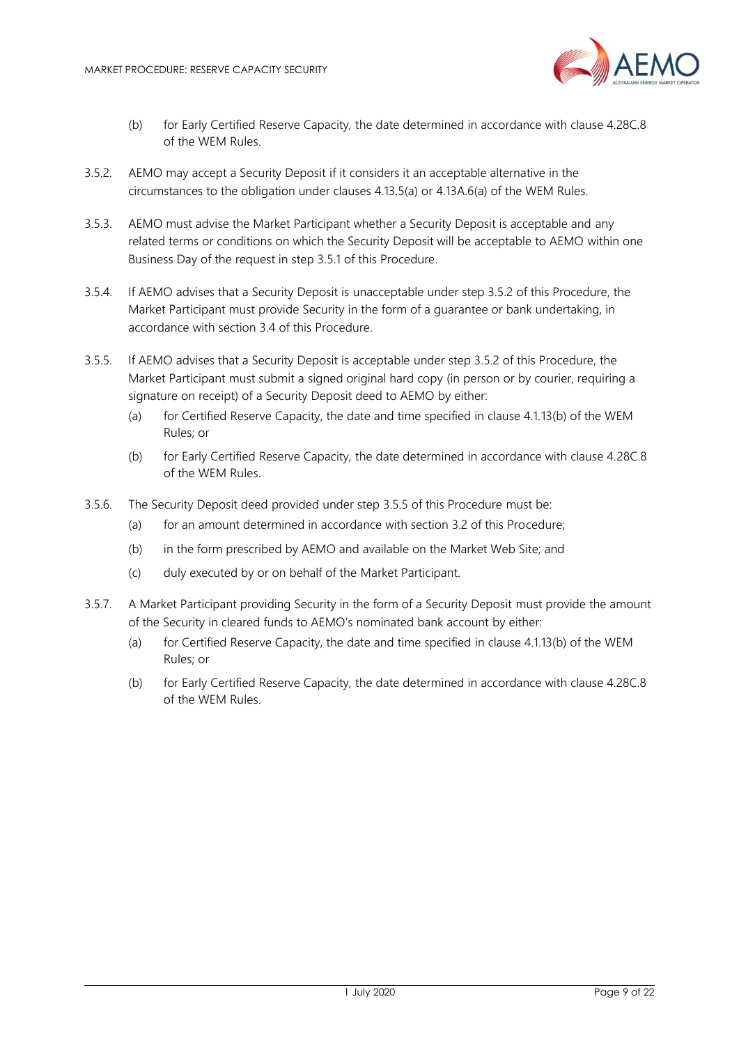

- (b) for Early Certified Reserve Capacity, the date determined in accordance with clause 4.28C.8 of the WEM Rules.
- 3.5.2. AEMO may accept a Security Deposit if it considers it an acceptable alternative in the circumstances to the obligation under clauses 4.13.5(a) or 4.13A.6(a) of the WEM Rules.
- 3.5.3. AEMO must advise the Market Participant whether a Security Deposit is acceptable and any related terms or conditions on which the Security Deposit will be acceptable to AEMO within one Business Day of the request in step 3.5.1 of this Procedure.
- 3.5.4. If AEMO advises that a Security Deposit is unacceptable under step 3.5.2 of this Procedure, the Market Participant must provide Security in the form of a guarantee or bank undertaking, in accordance with section 3.4 of this Procedure.
- 3.5.5. If AEMO advises that a Security Deposit is acceptable under step 3.5.2 of this Procedure, the Market Participant must submit a signed original hard copy (in person or by courier, requiring a signature on receipt) of a Security Deposit deed to AEMO by either:
	- (a) for Certified Reserve Capacity, the date and time specified in clause 4.1.13(b) of the WEM Rules; or
	- (b) for Early Certified Reserve Capacity, the date determined in accordance with clause 4.28C.8 of the WEM Rules.
- 3.5.6. The Security Deposit deed provided under step 3.5.5 of this Procedure must be:
	- (a) for an amount determined in accordance with section 3.2 of this Procedure;
	- (b) in the form prescribed by AEMO and available on the Market Web Site; and
	- (c) duly executed by or on behalf of the Market Participant.
- 3.5.7. A Market Participant providing Security in the form of a Security Deposit must provide the amount of the Security in cleared funds to AEMO's nominated bank account by either:
	- (a) for Certified Reserve Capacity, the date and time specified in clause 4.1.13(b) of the WEM Rules; or
	- (b) for Early Certified Reserve Capacity, the date determined in accordance with clause 4.28C.8 of the WEM Rules.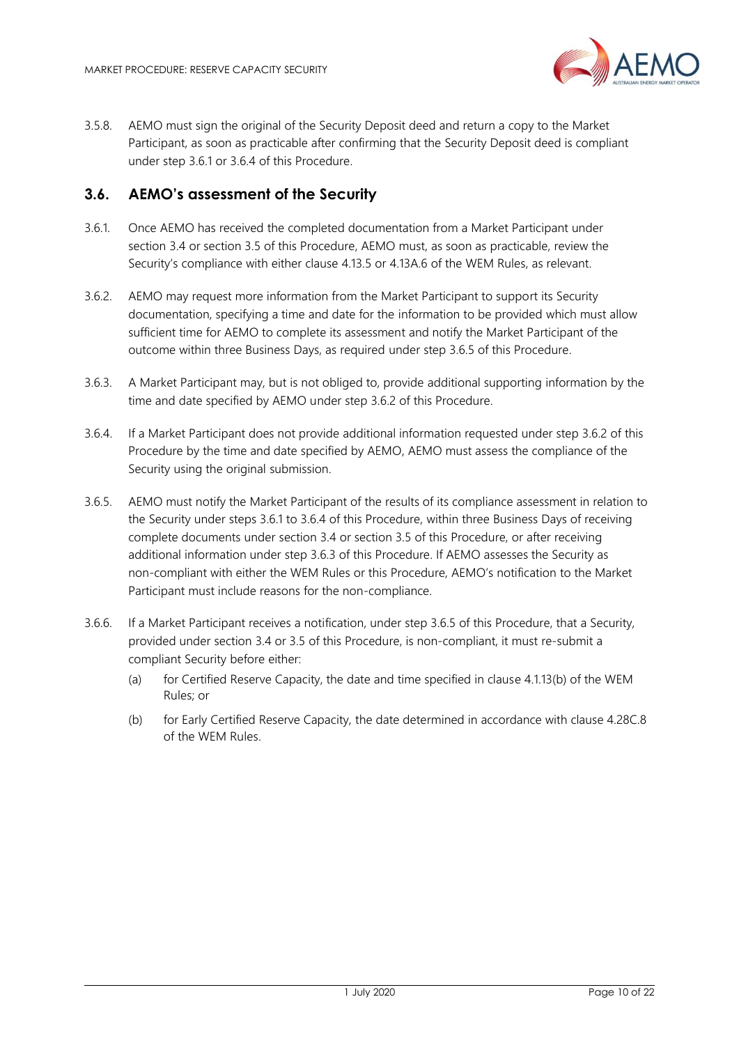

3.5.8. AEMO must sign the original of the Security Deposit deed and return a copy to the Market Participant, as soon as practicable after confirming that the Security Deposit deed is compliant under step 3.6.1 or 3.6.4 of this Procedure.

#### <span id="page-9-0"></span>**3.6. AEMO's assessment of the Security**

- 3.6.1. Once AEMO has received the completed documentation from a Market Participant under section 3.4 or section 3.5 of this Procedure, AEMO must, as soon as practicable, review the Security's compliance with either clause 4.13.5 or 4.13A.6 of the WEM Rules, as relevant.
- 3.6.2. AEMO may request more information from the Market Participant to support its Security documentation, specifying a time and date for the information to be provided which must allow sufficient time for AEMO to complete its assessment and notify the Market Participant of the outcome within three Business Days, as required under step 3.6.5 of this Procedure.
- 3.6.3. A Market Participant may, but is not obliged to, provide additional supporting information by the time and date specified by AEMO under step 3.6.2 of this Procedure.
- 3.6.4. If a Market Participant does not provide additional information requested under step 3.6.2 of this Procedure by the time and date specified by AEMO, AEMO must assess the compliance of the Security using the original submission.
- 3.6.5. AEMO must notify the Market Participant of the results of its compliance assessment in relation to the Security under steps 3.6.1 to 3.6.4 of this Procedure, within three Business Days of receiving complete documents under section 3.4 or section 3.5 of this Procedure, or after receiving additional information under step 3.6.3 of this Procedure. If AEMO assesses the Security as non-compliant with either the WEM Rules or this Procedure, AEMO's notification to the Market Participant must include reasons for the non-compliance.
- 3.6.6. If a Market Participant receives a notification, under step 3.6.5 of this Procedure, that a Security, provided under section 3.4 or 3.5 of this Procedure, is non-compliant, it must re-submit a compliant Security before either:
	- (a) for Certified Reserve Capacity, the date and time specified in clause 4.1.13(b) of the WEM Rules; or
	- (b) for Early Certified Reserve Capacity, the date determined in accordance with clause 4.28C.8 of the WEM Rules.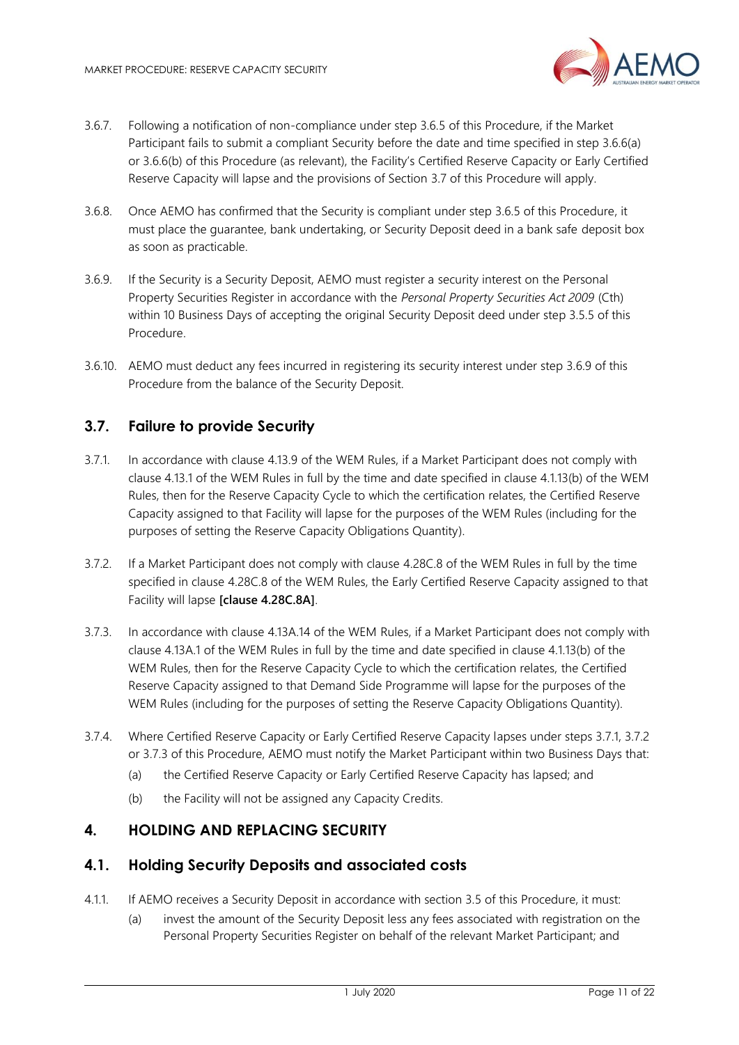

- 3.6.7. Following a notification of non-compliance under step 3.6.5 of this Procedure, if the Market Participant fails to submit a compliant Security before the date and time specified in step 3.6.6(a) or 3.6.6(b) of this Procedure (as relevant), the Facility's Certified Reserve Capacity or Early Certified Reserve Capacity will lapse and the provisions of Section 3.7 of this Procedure will apply.
- 3.6.8. Once AEMO has confirmed that the Security is compliant under step 3.6.5 of this Procedure, it must place the guarantee, bank undertaking, or Security Deposit deed in a bank safe deposit box as soon as practicable.
- 3.6.9. If the Security is a Security Deposit, AEMO must register a security interest on the Personal Property Securities Register in accordance with the *Personal Property Securities Act 2009* (Cth) within 10 Business Days of accepting the original Security Deposit deed under step 3.5.5 of this Procedure.
- 3.6.10. AEMO must deduct any fees incurred in registering its security interest under step 3.6.9 of this Procedure from the balance of the Security Deposit.

# <span id="page-10-0"></span>**3.7. Failure to provide Security**

- 3.7.1. In accordance with clause 4.13.9 of the WEM Rules, if a Market Participant does not comply with clause 4.13.1 of the WEM Rules in full by the time and date specified in clause 4.1.13(b) of the WEM Rules, then for the Reserve Capacity Cycle to which the certification relates, the Certified Reserve Capacity assigned to that Facility will lapse for the purposes of the WEM Rules (including for the purposes of setting the Reserve Capacity Obligations Quantity).
- 3.7.2. If a Market Participant does not comply with clause 4.28C.8 of the WEM Rules in full by the time specified in clause 4.28C.8 of the WEM Rules, the Early Certified Reserve Capacity assigned to that Facility will lapse **[clause 4.28C.8A]**.
- 3.7.3. In accordance with clause 4.13A.14 of the WEM Rules, if a Market Participant does not comply with clause 4.13A.1 of the WEM Rules in full by the time and date specified in clause 4.1.13(b) of the WEM Rules, then for the Reserve Capacity Cycle to which the certification relates, the Certified Reserve Capacity assigned to that Demand Side Programme will lapse for the purposes of the WEM Rules (including for the purposes of setting the Reserve Capacity Obligations Quantity).
- 3.7.4. Where Certified Reserve Capacity or Early Certified Reserve Capacity lapses under steps 3.7.1, 3.7.2 or 3.7.3 of this Procedure, AEMO must notify the Market Participant within two Business Days that:
	- (a) the Certified Reserve Capacity or Early Certified Reserve Capacity has lapsed; and
	- (b) the Facility will not be assigned any Capacity Credits.

#### <span id="page-10-1"></span>**4. HOLDING AND REPLACING SECURITY**

#### <span id="page-10-2"></span>**4.1. Holding Security Deposits and associated costs**

- 4.1.1. If AEMO receives a Security Deposit in accordance with section 3.5 of this Procedure, it must:
	- (a) invest the amount of the Security Deposit less any fees associated with registration on the Personal Property Securities Register on behalf of the relevant Market Participant; and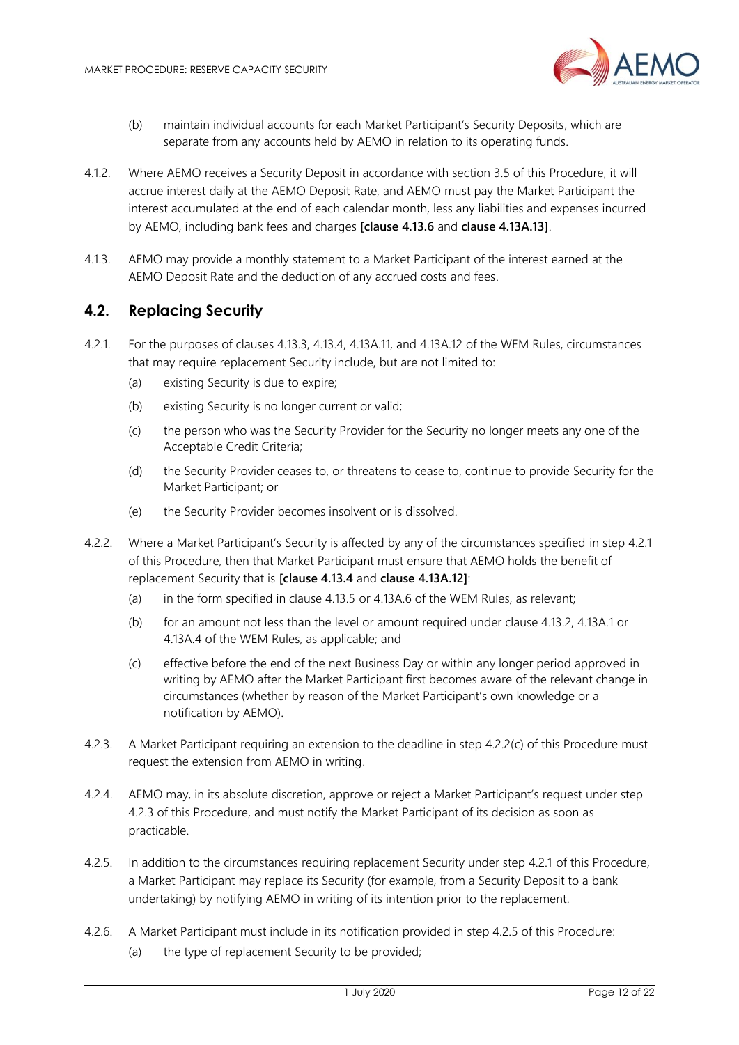

- (b) maintain individual accounts for each Market Participant's Security Deposits, which are separate from any accounts held by AEMO in relation to its operating funds.
- 4.1.2. Where AEMO receives a Security Deposit in accordance with section 3.5 of this Procedure, it will accrue interest daily at the AEMO Deposit Rate, and AEMO must pay the Market Participant the interest accumulated at the end of each calendar month, less any liabilities and expenses incurred by AEMO, including bank fees and charges **[clause 4.13.6** and **clause 4.13A.13]**.
- 4.1.3. AEMO may provide a monthly statement to a Market Participant of the interest earned at the AEMO Deposit Rate and the deduction of any accrued costs and fees.

## <span id="page-11-0"></span>**4.2. Replacing Security**

- 4.2.1. For the purposes of clauses 4.13.3, 4.13.4, 4.13A.11, and 4.13A.12 of the WEM Rules, circumstances that may require replacement Security include, but are not limited to:
	- (a) existing Security is due to expire;
	- (b) existing Security is no longer current or valid;
	- (c) the person who was the Security Provider for the Security no longer meets any one of the Acceptable Credit Criteria;
	- (d) the Security Provider ceases to, or threatens to cease to, continue to provide Security for the Market Participant; or
	- (e) the Security Provider becomes insolvent or is dissolved.
- 4.2.2. Where a Market Participant's Security is affected by any of the circumstances specified in step 4.2.1 of this Procedure, then that Market Participant must ensure that AEMO holds the benefit of replacement Security that is **[clause 4.13.4** and **clause 4.13A.12]**:
	- (a) in the form specified in clause 4.13.5 or 4.13A.6 of the WEM Rules, as relevant;
	- (b) for an amount not less than the level or amount required under clause 4.13.2, 4.13A.1 or 4.13A.4 of the WEM Rules, as applicable; and
	- (c) effective before the end of the next Business Day or within any longer period approved in writing by AEMO after the Market Participant first becomes aware of the relevant change in circumstances (whether by reason of the Market Participant's own knowledge or a notification by AEMO).
- 4.2.3. A Market Participant requiring an extension to the deadline in step 4.2.2(c) of this Procedure must request the extension from AEMO in writing.
- 4.2.4. AEMO may, in its absolute discretion, approve or reject a Market Participant's request under step 4.2.3 of this Procedure, and must notify the Market Participant of its decision as soon as practicable.
- 4.2.5. In addition to the circumstances requiring replacement Security under step 4.2.1 of this Procedure, a Market Participant may replace its Security (for example, from a Security Deposit to a bank undertaking) by notifying AEMO in writing of its intention prior to the replacement.
- 4.2.6. A Market Participant must include in its notification provided in step 4.2.5 of this Procedure:
	- (a) the type of replacement Security to be provided;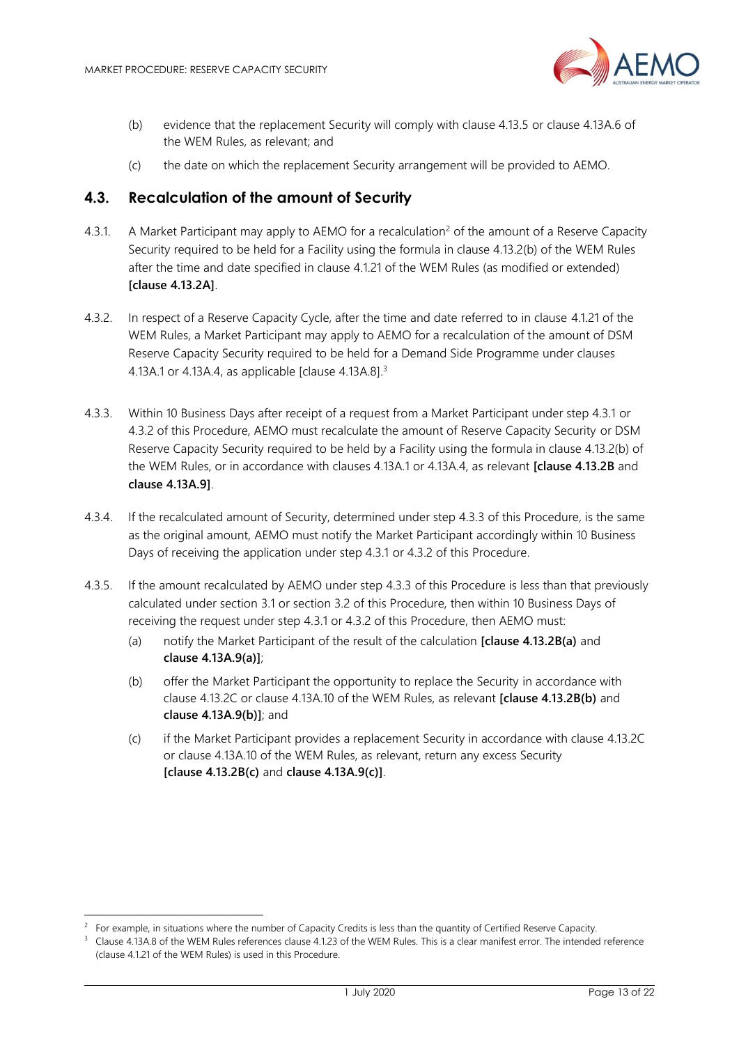

- (b) evidence that the replacement Security will comply with clause 4.13.5 or clause 4.13A.6 of the WEM Rules, as relevant; and
- (c) the date on which the replacement Security arrangement will be provided to AEMO.

#### <span id="page-12-0"></span>**4.3. Recalculation of the amount of Security**

- 4.3.1. A Market Participant may apply to AEMO for a recalculation<sup>2</sup> of the amount of a Reserve Capacity Security required to be held for a Facility using the formula in clause 4.13.2(b) of the WEM Rules after the time and date specified in clause 4.1.21 of the WEM Rules (as modified or extended) **[clause 4.13.2A]**.
- 4.3.2. In respect of a Reserve Capacity Cycle, after the time and date referred to in clause 4.1.21 of the WEM Rules, a Market Participant may apply to AEMO for a recalculation of the amount of DSM Reserve Capacity Security required to be held for a Demand Side Programme under clauses 4.13A.1 or 4.13A.4, as applicable [clause 4.13A.8]. 3
- 4.3.3. Within 10 Business Days after receipt of a request from a Market Participant under step 4.3.1 or 4.3.2 of this Procedure, AEMO must recalculate the amount of Reserve Capacity Security or DSM Reserve Capacity Security required to be held by a Facility using the formula in clause 4.13.2(b) of the WEM Rules, or in accordance with clauses 4.13A.1 or 4.13A.4, as relevant **[clause 4.13.2B** and **clause 4.13A.9]**.
- 4.3.4. If the recalculated amount of Security, determined under step 4.3.3 of this Procedure, is the same as the original amount, AEMO must notify the Market Participant accordingly within 10 Business Days of receiving the application under step 4.3.1 or 4.3.2 of this Procedure.
- 4.3.5. If the amount recalculated by AEMO under step 4.3.3 of this Procedure is less than that previously calculated under section 3.1 or section 3.2 of this Procedure, then within 10 Business Days of receiving the request under step 4.3.1 or 4.3.2 of this Procedure, then AEMO must:
	- (a) notify the Market Participant of the result of the calculation **[clause 4.13.2B(a)** and **clause 4.13A.9(a)]**;
	- (b) offer the Market Participant the opportunity to replace the Security in accordance with clause 4.13.2C or clause 4.13A.10 of the WEM Rules, as relevant **[clause 4.13.2B(b)** and **clause 4.13A.9(b)]**; and
	- (c) if the Market Participant provides a replacement Security in accordance with clause 4.13.2C or clause 4.13A.10 of the WEM Rules, as relevant, return any excess Security **[clause 4.13.2B(c)** and **clause 4.13A.9(c)]**.

<sup>2</sup> For example, in situations where the number of Capacity Credits is less than the quantity of Certified Reserve Capacity.

<sup>3</sup> Clause 4.13A.8 of the WEM Rules references clause 4.1.23 of the WEM Rules. This is a clear manifest error. The intended reference (clause 4.1.21 of the WEM Rules) is used in this Procedure.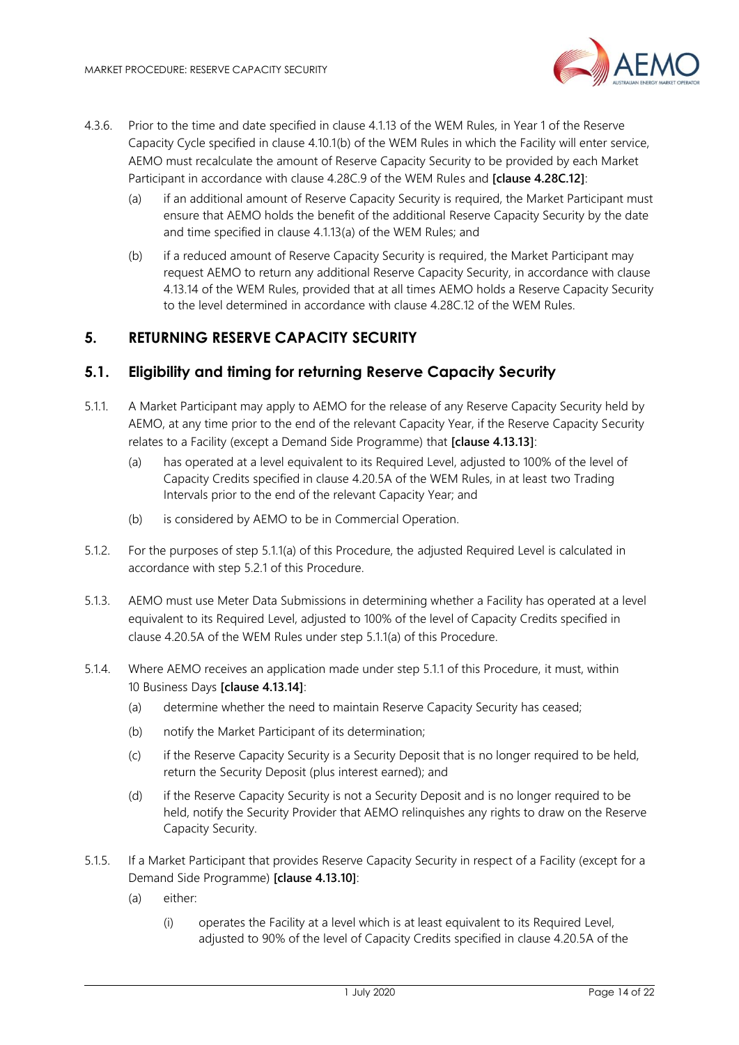

- 4.3.6. Prior to the time and date specified in clause 4.1.13 of the WEM Rules, in Year 1 of the Reserve Capacity Cycle specified in clause 4.10.1(b) of the WEM Rules in which the Facility will enter service, AEMO must recalculate the amount of Reserve Capacity Security to be provided by each Market Participant in accordance with clause 4.28C.9 of the WEM Rules and **[clause 4.28C.12]**:
	- (a) if an additional amount of Reserve Capacity Security is required, the Market Participant must ensure that AEMO holds the benefit of the additional Reserve Capacity Security by the date and time specified in clause 4.1.13(a) of the WEM Rules; and
	- (b) if a reduced amount of Reserve Capacity Security is required, the Market Participant may request AEMO to return any additional Reserve Capacity Security, in accordance with clause 4.13.14 of the WEM Rules, provided that at all times AEMO holds a Reserve Capacity Security to the level determined in accordance with clause 4.28C.12 of the WEM Rules.

# <span id="page-13-0"></span>**5. RETURNING RESERVE CAPACITY SECURITY**

#### <span id="page-13-1"></span>**5.1. Eligibility and timing for returning Reserve Capacity Security**

- 5.1.1. A Market Participant may apply to AEMO for the release of any Reserve Capacity Security held by AEMO, at any time prior to the end of the relevant Capacity Year, if the Reserve Capacity Security relates to a Facility (except a Demand Side Programme) that **[clause 4.13.13]**:
	- (a) has operated at a level equivalent to its Required Level, adjusted to 100% of the level of Capacity Credits specified in clause 4.20.5A of the WEM Rules, in at least two Trading Intervals prior to the end of the relevant Capacity Year; and
	- (b) is considered by AEMO to be in Commercial Operation.
- 5.1.2. For the purposes of step 5.1.1(a) of this Procedure, the adjusted Required Level is calculated in accordance with step 5.2.1 of this Procedure.
- 5.1.3. AEMO must use Meter Data Submissions in determining whether a Facility has operated at a level equivalent to its Required Level, adjusted to 100% of the level of Capacity Credits specified in clause 4.20.5A of the WEM Rules under step 5.1.1(a) of this Procedure.
- 5.1.4. Where AEMO receives an application made under step 5.1.1 of this Procedure, it must, within 10 Business Days **[clause 4.13.14]**:
	- (a) determine whether the need to maintain Reserve Capacity Security has ceased;
	- (b) notify the Market Participant of its determination;
	- (c) if the Reserve Capacity Security is a Security Deposit that is no longer required to be held, return the Security Deposit (plus interest earned); and
	- (d) if the Reserve Capacity Security is not a Security Deposit and is no longer required to be held, notify the Security Provider that AEMO relinquishes any rights to draw on the Reserve Capacity Security.
- 5.1.5. If a Market Participant that provides Reserve Capacity Security in respect of a Facility (except for a Demand Side Programme) **[clause 4.13.10]**:
	- (a) either:
		- (i) operates the Facility at a level which is at least equivalent to its Required Level, adjusted to 90% of the level of Capacity Credits specified in clause 4.20.5A of the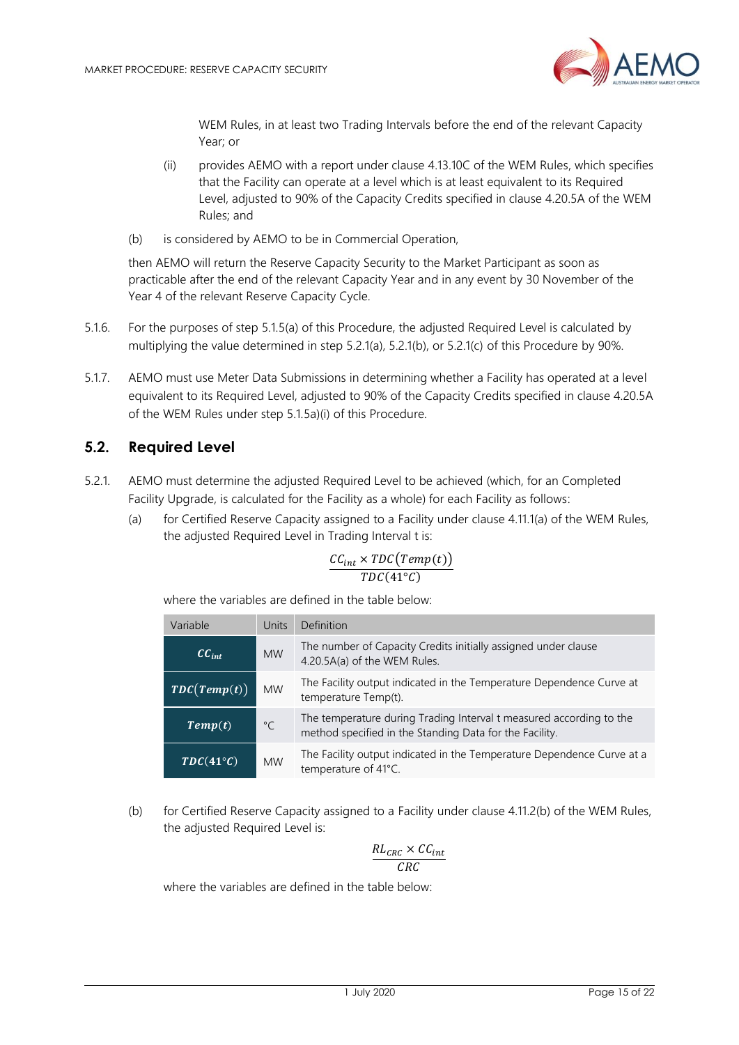

WEM Rules, in at least two Trading Intervals before the end of the relevant Capacity Year; or

- (ii) provides AEMO with a report under clause 4.13.10C of the WEM Rules, which specifies that the Facility can operate at a level which is at least equivalent to its Required Level, adjusted to 90% of the Capacity Credits specified in clause 4.20.5A of the WEM Rules; and
- (b) is considered by AEMO to be in Commercial Operation,

then AEMO will return the Reserve Capacity Security to the Market Participant as soon as practicable after the end of the relevant Capacity Year and in any event by 30 November of the Year 4 of the relevant Reserve Capacity Cycle.

- 5.1.6. For the purposes of step 5.1.5(a) of this Procedure, the adjusted Required Level is calculated by multiplying the value determined in step 5.2.1(a), 5.2.1(b), or 5.2.1(c) of this Procedure by 90%.
- 5.1.7. AEMO must use Meter Data Submissions in determining whether a Facility has operated at a level equivalent to its Required Level, adjusted to 90% of the Capacity Credits specified in clause 4.20.5A of the WEM Rules under step 5.1.5a)(i) of this Procedure.

#### <span id="page-14-0"></span>**5.2. Required Level**

- 5.2.1. AEMO must determine the adjusted Required Level to be achieved (which, for an Completed Facility Upgrade, is calculated for the Facility as a whole) for each Facility as follows:
	- (a) for Certified Reserve Capacity assigned to a Facility under clause 4.11.1(a) of the WEM Rules, the adjusted Required Level in Trading Interval t is:

$$
\frac{CC_{int} \times TDC(Temp(t))}{TDC(41^{\circ}C)}
$$

where the variables are defined in the table below:

| Variable                  | Units        | <b>Definition</b>                                                                                                              |
|---------------------------|--------------|--------------------------------------------------------------------------------------------------------------------------------|
| $CC_{int}$                | <b>MW</b>    | The number of Capacity Credits initially assigned under clause<br>4.20.5A(a) of the WEM Rules.                                 |
| $\overline{TDC(Temp(t))}$ | <b>MW</b>    | The Facility output indicated in the Temperature Dependence Curve at<br>temperature Temp(t).                                   |
| Temp(t)                   | $^{\circ}$ C | The temperature during Trading Interval t measured according to the<br>method specified in the Standing Data for the Facility. |
| $TDC(41^{\circ}C)$        | <b>MW</b>    | The Facility output indicated in the Temperature Dependence Curve at a<br>temperature of 41°C.                                 |

(b) for Certified Reserve Capacity assigned to a Facility under clause 4.11.2(b) of the WEM Rules, the adjusted Required Level is:

$$
\frac{RL_{CRC} \times CC_{int}}{CRC}
$$

where the variables are defined in the table below: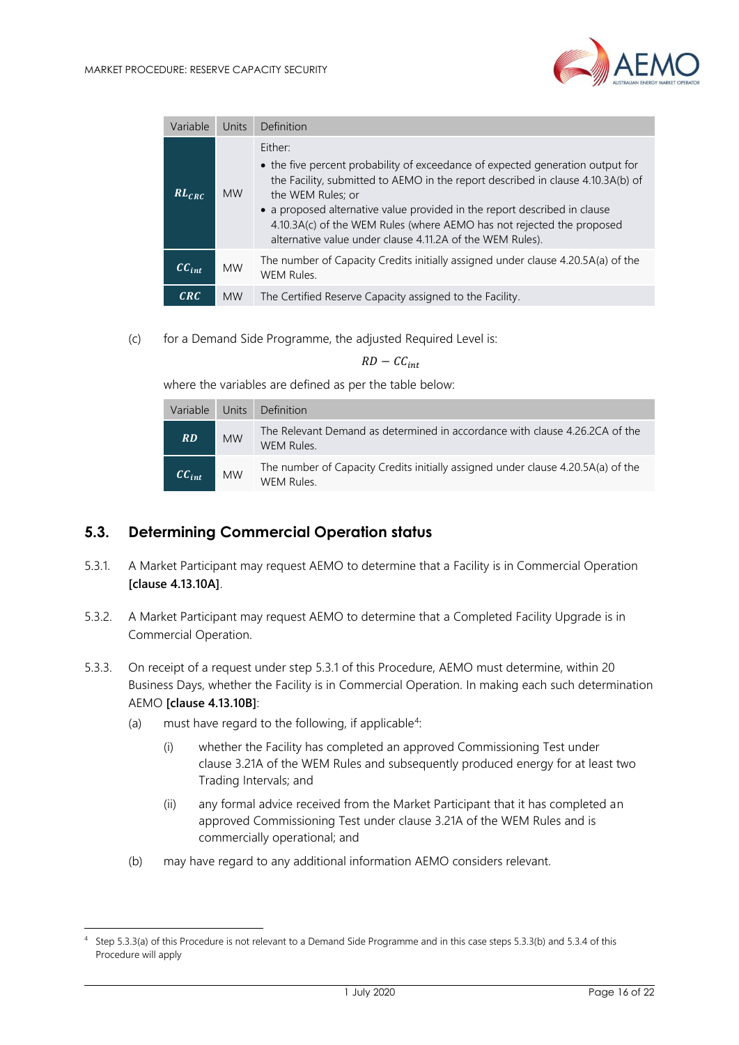

| Variable   | Units     | Definition                                                                                                                                                                                                                                                                                                                                                                                                           |
|------------|-----------|----------------------------------------------------------------------------------------------------------------------------------------------------------------------------------------------------------------------------------------------------------------------------------------------------------------------------------------------------------------------------------------------------------------------|
| $RL_{CRC}$ | <b>MW</b> | Either:<br>• the five percent probability of exceedance of expected generation output for<br>the Facility, submitted to AEMO in the report described in clause 4.10.3A(b) of<br>the WEM Rules; or<br>• a proposed alternative value provided in the report described in clause<br>4.10.3A(c) of the WEM Rules (where AEMO has not rejected the proposed<br>alternative value under clause 4.11.2A of the WEM Rules). |
| $CC_{int}$ | <b>MW</b> | The number of Capacity Credits initially assigned under clause 4.20.5A(a) of the<br><b>WEM Rules.</b>                                                                                                                                                                                                                                                                                                                |
| CRC        | <b>MW</b> | The Certified Reserve Capacity assigned to the Facility.                                                                                                                                                                                                                                                                                                                                                             |

(c) for a Demand Side Programme, the adjusted Required Level is:

#### $RD - CC_{int}$

where the variables are defined as per the table below:

| Variable   | Units     | Definition                                                                                     |
|------------|-----------|------------------------------------------------------------------------------------------------|
| RD         | <b>MW</b> | The Relevant Demand as determined in accordance with clause 4.26.2CA of the<br>WEM Rules.      |
| $CC_{int}$ | <b>MW</b> | The number of Capacity Credits initially assigned under clause 4.20.5A(a) of the<br>WEM Rules. |

#### <span id="page-15-0"></span>**5.3. Determining Commercial Operation status**

- 5.3.1. A Market Participant may request AEMO to determine that a Facility is in Commercial Operation **[clause 4.13.10A]**.
- 5.3.2. A Market Participant may request AEMO to determine that a Completed Facility Upgrade is in Commercial Operation.
- 5.3.3. On receipt of a request under step 5.3.1 of this Procedure, AEMO must determine, within 20 Business Days, whether the Facility is in Commercial Operation. In making each such determination AEMO **[clause 4.13.10B]**:
	- (a) must have regard to the following, if applicable<sup>4</sup>:
		- (i) whether the Facility has completed an approved Commissioning Test under clause 3.21A of the WEM Rules and subsequently produced energy for at least two Trading Intervals; and
		- (ii) any formal advice received from the Market Participant that it has completed an approved Commissioning Test under clause 3.21A of the WEM Rules and is commercially operational; and
	- (b) may have regard to any additional information AEMO considers relevant.

<sup>4</sup> Step 5.3.3(a) of this Procedure is not relevant to a Demand Side Programme and in this case steps 5.3.3(b) and 5.3.4 of this Procedure will apply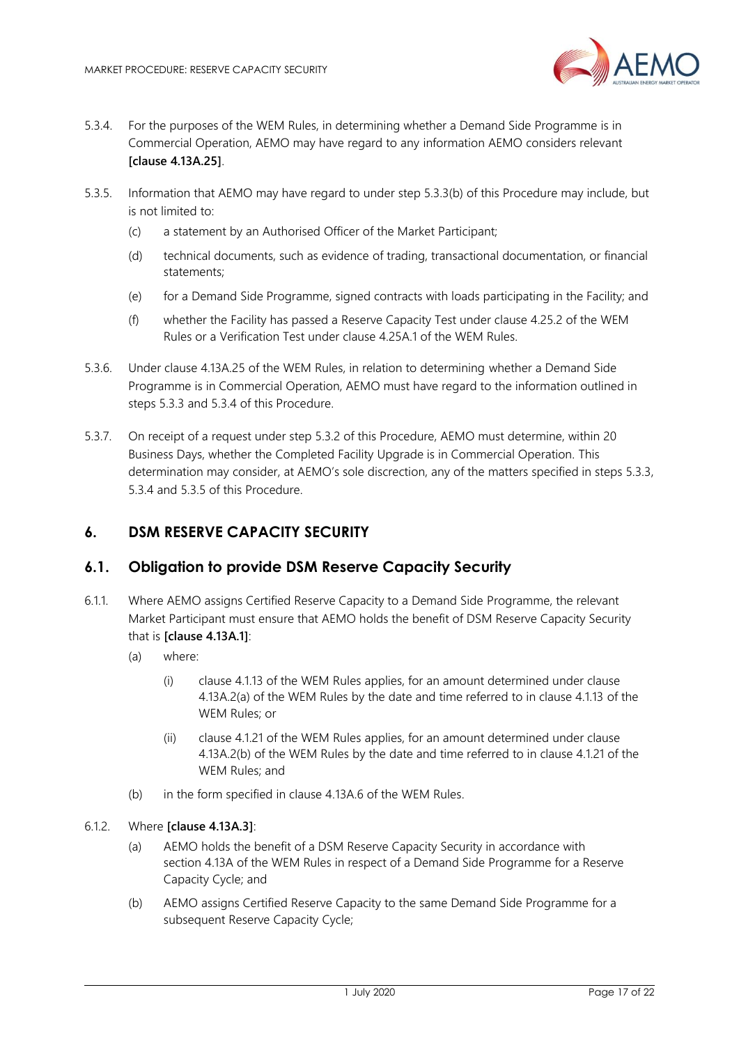

- 5.3.4. For the purposes of the WEM Rules, in determining whether a Demand Side Programme is in Commercial Operation, AEMO may have regard to any information AEMO considers relevant **[clause 4.13A.25]**.
- 5.3.5. Information that AEMO may have regard to under step 5.3.3(b) of this Procedure may include, but is not limited to:
	- (c) a statement by an Authorised Officer of the Market Participant;
	- (d) technical documents, such as evidence of trading, transactional documentation, or financial statements;
	- (e) for a Demand Side Programme, signed contracts with loads participating in the Facility; and
	- (f) whether the Facility has passed a Reserve Capacity Test under clause 4.25.2 of the WEM Rules or a Verification Test under clause 4.25A.1 of the WEM Rules.
- 5.3.6. Under clause 4.13A.25 of the WEM Rules, in relation to determining whether a Demand Side Programme is in Commercial Operation, AEMO must have regard to the information outlined in steps 5.3.3 and 5.3.4 of this Procedure.
- 5.3.7. On receipt of a request under step 5.3.2 of this Procedure, AEMO must determine, within 20 Business Days, whether the Completed Facility Upgrade is in Commercial Operation. This determination may consider, at AEMO's sole discrection, any of the matters specified in steps 5.3.3, 5.3.4 and 5.3.5 of this Procedure.

#### <span id="page-16-0"></span>**6. DSM RESERVE CAPACITY SECURITY**

#### <span id="page-16-1"></span>**6.1. Obligation to provide DSM Reserve Capacity Security**

- 6.1.1. Where AEMO assigns Certified Reserve Capacity to a Demand Side Programme, the relevant Market Participant must ensure that AEMO holds the benefit of DSM Reserve Capacity Security that is **[clause 4.13A.1]**:
	- (a) where:
		- (i) clause 4.1.13 of the WEM Rules applies, for an amount determined under clause 4.13A.2(a) of the WEM Rules by the date and time referred to in clause 4.1.13 of the WEM Rules; or
		- (ii) clause 4.1.21 of the WEM Rules applies, for an amount determined under clause 4.13A.2(b) of the WEM Rules by the date and time referred to in clause 4.1.21 of the WEM Rules; and
	- (b) in the form specified in clause 4.13A.6 of the WEM Rules.

#### 6.1.2. Where **[clause 4.13A.3]**:

- (a) AEMO holds the benefit of a DSM Reserve Capacity Security in accordance with section 4.13A of the WEM Rules in respect of a Demand Side Programme for a Reserve Capacity Cycle; and
- (b) AEMO assigns Certified Reserve Capacity to the same Demand Side Programme for a subsequent Reserve Capacity Cycle;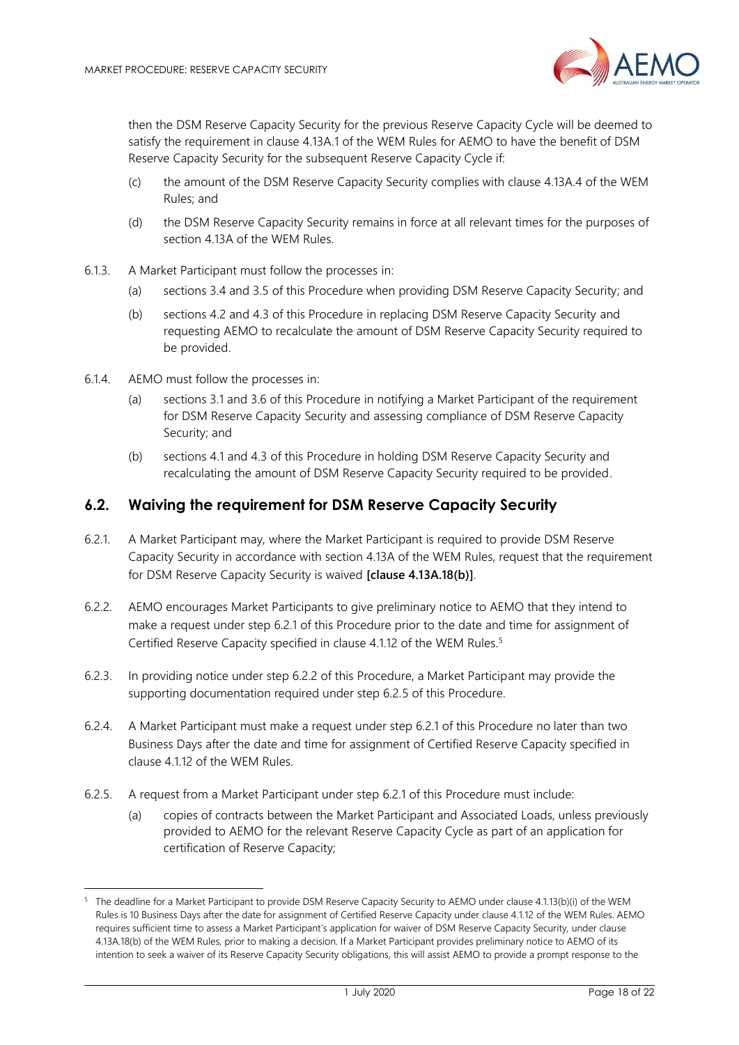

then the DSM Reserve Capacity Security for the previous Reserve Capacity Cycle will be deemed to satisfy the requirement in clause 4.13A.1 of the WEM Rules for AEMO to have the benefit of DSM Reserve Capacity Security for the subsequent Reserve Capacity Cycle if:

- (c) the amount of the DSM Reserve Capacity Security complies with clause 4.13A.4 of the WEM Rules; and
- (d) the DSM Reserve Capacity Security remains in force at all relevant times for the purposes of section 4.13A of the WEM Rules.
- 6.1.3. A Market Participant must follow the processes in:
	- (a) sections 3.4 and 3.5 of this Procedure when providing DSM Reserve Capacity Security; and
	- (b) sections 4.2 and 4.3 of this Procedure in replacing DSM Reserve Capacity Security and requesting AEMO to recalculate the amount of DSM Reserve Capacity Security required to be provided.
- 6.1.4. AEMO must follow the processes in:
	- (a) sections 3.1 and 3.6 of this Procedure in notifying a Market Participant of the requirement for DSM Reserve Capacity Security and assessing compliance of DSM Reserve Capacity Security; and
	- (b) sections 4.1 and 4.3 of this Procedure in holding DSM Reserve Capacity Security and recalculating the amount of DSM Reserve Capacity Security required to be provided.

#### <span id="page-17-0"></span>**6.2. Waiving the requirement for DSM Reserve Capacity Security**

- 6.2.1. A Market Participant may, where the Market Participant is required to provide DSM Reserve Capacity Security in accordance with section 4.13A of the WEM Rules, request that the requirement for DSM Reserve Capacity Security is waived **[clause 4.13A.18(b)]**.
- 6.2.2. AEMO encourages Market Participants to give preliminary notice to AEMO that they intend to make a request under step 6.2.1 of this Procedure prior to the date and time for assignment of Certified Reserve Capacity specified in clause 4.1.12 of the WEM Rules.<sup>5</sup>
- 6.2.3. In providing notice under step 6.2.2 of this Procedure, a Market Participant may provide the supporting documentation required under step 6.2.5 of this Procedure.
- 6.2.4. A Market Participant must make a request under step 6.2.1 of this Procedure no later than two Business Days after the date and time for assignment of Certified Reserve Capacity specified in clause 4.1.12 of the WEM Rules.
- 6.2.5. A request from a Market Participant under step 6.2.1 of this Procedure must include:
	- (a) copies of contracts between the Market Participant and Associated Loads, unless previously provided to AEMO for the relevant Reserve Capacity Cycle as part of an application for certification of Reserve Capacity;

<sup>&</sup>lt;sup>5</sup> The deadline for a Market Participant to provide DSM Reserve Capacity Security to AEMO under clause 4.1.13(b)(i) of the WEM Rules is 10 Business Days after the date for assignment of Certified Reserve Capacity under clause 4.1.12 of the WEM Rules. AEMO requires sufficient time to assess a Market Participant's application for waiver of DSM Reserve Capacity Security, under clause 4.13A.18(b) of the WEM Rules, prior to making a decision. If a Market Participant provides preliminary notice to AEMO of its intention to seek a waiver of its Reserve Capacity Security obligations, this will assist AEMO to provide a prompt response to the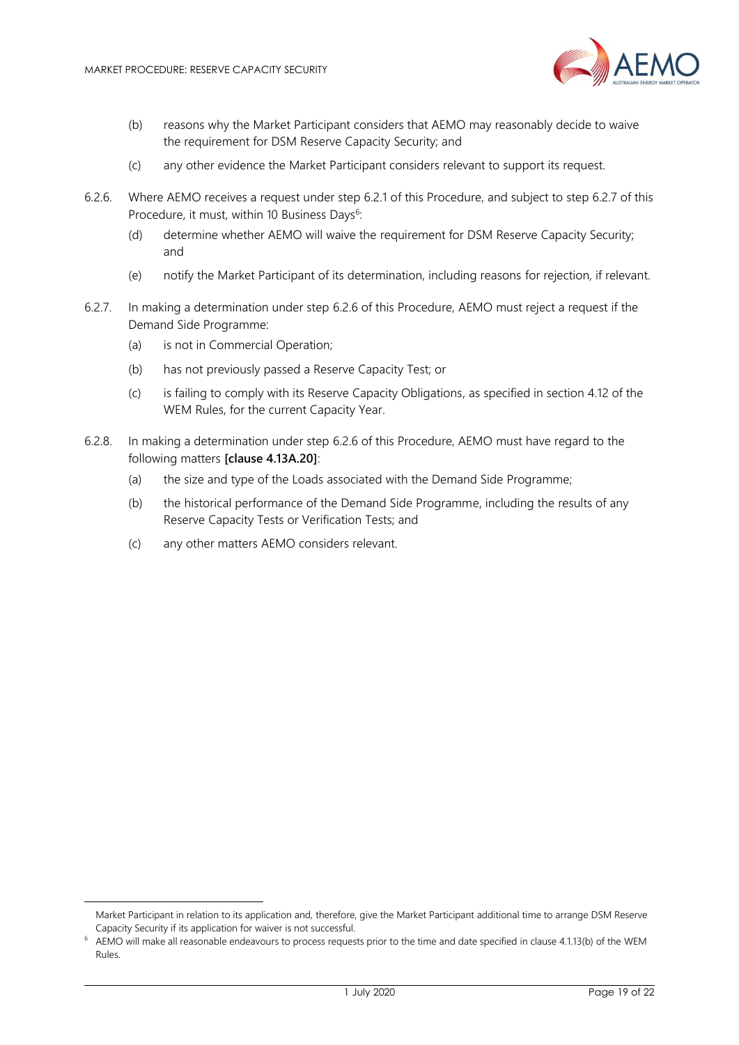

- (b) reasons why the Market Participant considers that AEMO may reasonably decide to waive the requirement for DSM Reserve Capacity Security; and
- (c) any other evidence the Market Participant considers relevant to support its request.
- 6.2.6. Where AEMO receives a request under step 6.2.1 of this Procedure, and subject to step 6.2.7 of this Procedure, it must, within 10 Business Days<sup>6</sup>:
	- (d) determine whether AEMO will waive the requirement for DSM Reserve Capacity Security; and
	- (e) notify the Market Participant of its determination, including reasons for rejection, if relevant.
- 6.2.7. In making a determination under step 6.2.6 of this Procedure, AEMO must reject a request if the Demand Side Programme:
	- (a) is not in Commercial Operation;
	- (b) has not previously passed a Reserve Capacity Test; or
	- (c) is failing to comply with its Reserve Capacity Obligations, as specified in section 4.12 of the WEM Rules, for the current Capacity Year.
- 6.2.8. In making a determination under step 6.2.6 of this Procedure, AEMO must have regard to the following matters **[clause 4.13A.20]**:
	- (a) the size and type of the Loads associated with the Demand Side Programme;
	- (b) the historical performance of the Demand Side Programme, including the results of any Reserve Capacity Tests or Verification Tests; and
	- (c) any other matters AEMO considers relevant.

Market Participant in relation to its application and, therefore, give the Market Participant additional time to arrange DSM Reserve Capacity Security if its application for waiver is not successful.

AEMO will make all reasonable endeavours to process requests prior to the time and date specified in clause 4.1.13(b) of the WEM Rules.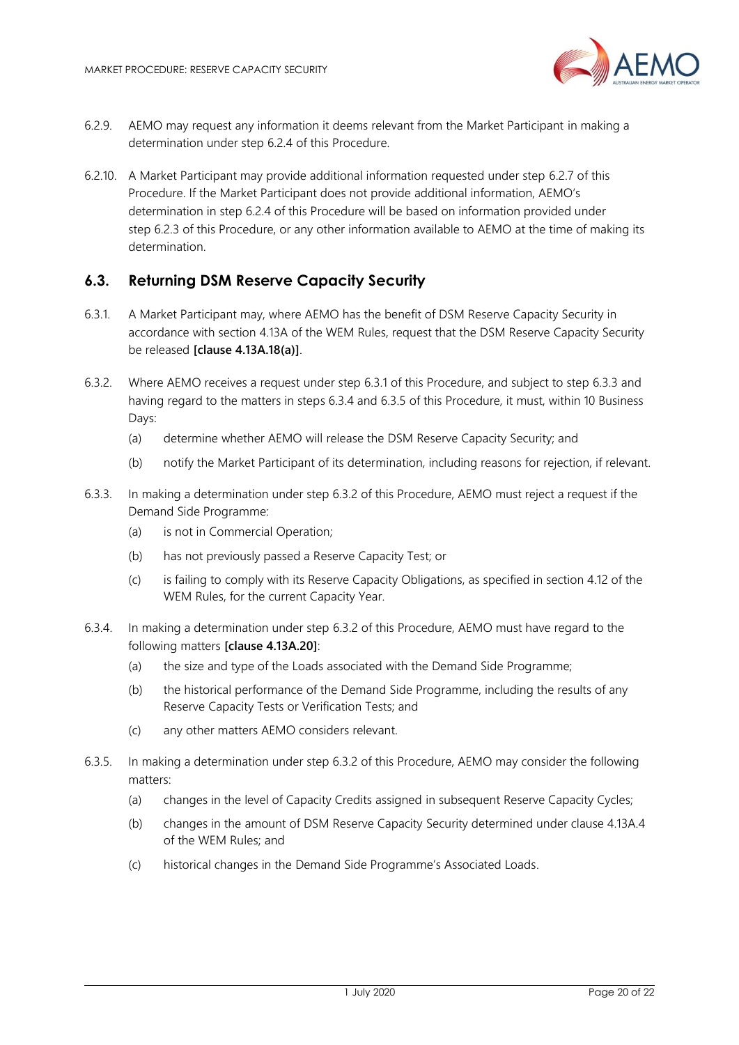

- 6.2.9. AEMO may request any information it deems relevant from the Market Participant in making a determination under step 6.2.4 of this Procedure.
- 6.2.10. A Market Participant may provide additional information requested under step 6.2.7 of this Procedure. If the Market Participant does not provide additional information, AEMO's determination in step 6.2.4 of this Procedure will be based on information provided under step 6.2.3 of this Procedure, or any other information available to AEMO at the time of making its determination.

## <span id="page-19-0"></span>**6.3. Returning DSM Reserve Capacity Security**

- 6.3.1. A Market Participant may, where AEMO has the benefit of DSM Reserve Capacity Security in accordance with section 4.13A of the WEM Rules, request that the DSM Reserve Capacity Security be released **[clause 4.13A.18(a)]**.
- 6.3.2. Where AEMO receives a request under step 6.3.1 of this Procedure, and subject to step 6.3.3 and having regard to the matters in steps 6.3.4 and 6.3.5 of this Procedure, it must, within 10 Business Days:
	- (a) determine whether AEMO will release the DSM Reserve Capacity Security; and
	- (b) notify the Market Participant of its determination, including reasons for rejection, if relevant.
- 6.3.3. In making a determination under step 6.3.2 of this Procedure, AEMO must reject a request if the Demand Side Programme:
	- (a) is not in Commercial Operation;
	- (b) has not previously passed a Reserve Capacity Test; or
	- (c) is failing to comply with its Reserve Capacity Obligations, as specified in section 4.12 of the WEM Rules, for the current Capacity Year.
- 6.3.4. In making a determination under step 6.3.2 of this Procedure, AEMO must have regard to the following matters **[clause 4.13A.20]**:
	- (a) the size and type of the Loads associated with the Demand Side Programme;
	- (b) the historical performance of the Demand Side Programme, including the results of any Reserve Capacity Tests or Verification Tests; and
	- (c) any other matters AEMO considers relevant.
- 6.3.5. In making a determination under step 6.3.2 of this Procedure, AEMO may consider the following matters:
	- (a) changes in the level of Capacity Credits assigned in subsequent Reserve Capacity Cycles;
	- (b) changes in the amount of DSM Reserve Capacity Security determined under clause 4.13A.4 of the WEM Rules; and
	- (c) historical changes in the Demand Side Programme's Associated Loads.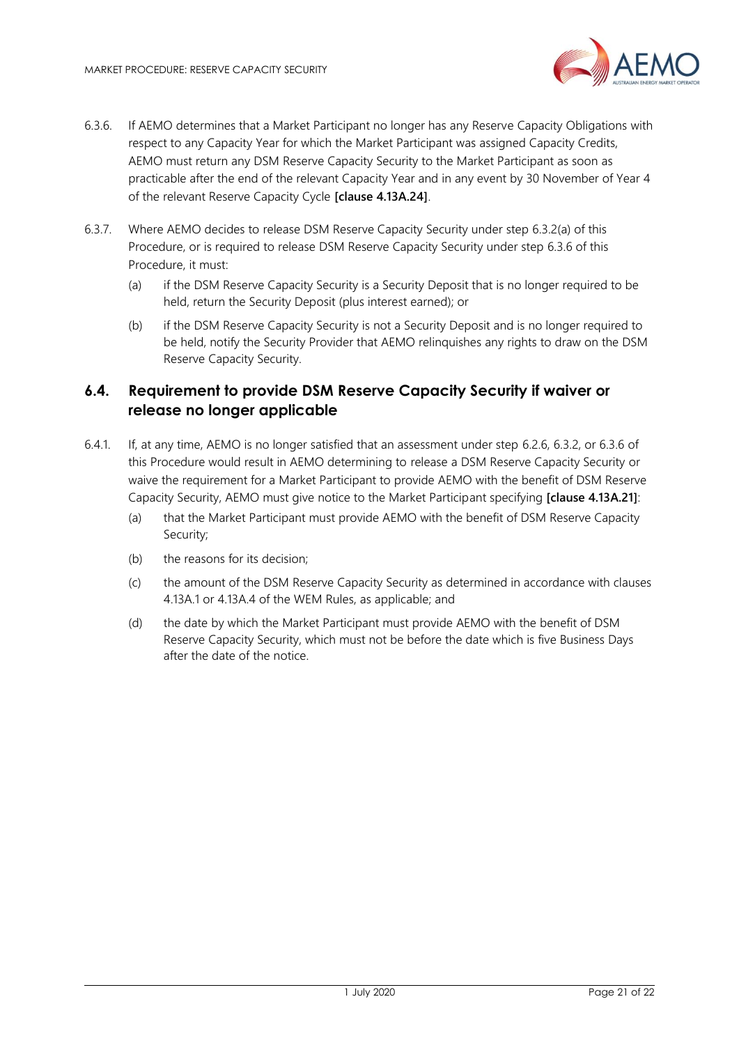

- 6.3.6. If AEMO determines that a Market Participant no longer has any Reserve Capacity Obligations with respect to any Capacity Year for which the Market Participant was assigned Capacity Credits, AEMO must return any DSM Reserve Capacity Security to the Market Participant as soon as practicable after the end of the relevant Capacity Year and in any event by 30 November of Year 4 of the relevant Reserve Capacity Cycle **[clause 4.13A.24]**.
- 6.3.7. Where AEMO decides to release DSM Reserve Capacity Security under step 6.3.2(a) of this Procedure, or is required to release DSM Reserve Capacity Security under step 6.3.6 of this Procedure, it must:
	- (a) if the DSM Reserve Capacity Security is a Security Deposit that is no longer required to be held, return the Security Deposit (plus interest earned); or
	- (b) if the DSM Reserve Capacity Security is not a Security Deposit and is no longer required to be held, notify the Security Provider that AEMO relinquishes any rights to draw on the DSM Reserve Capacity Security.

## <span id="page-20-0"></span>**6.4. Requirement to provide DSM Reserve Capacity Security if waiver or release no longer applicable**

- 6.4.1. If, at any time, AEMO is no longer satisfied that an assessment under step 6.2.6, 6.3.2, or 6.3.6 of this Procedure would result in AEMO determining to release a DSM Reserve Capacity Security or waive the requirement for a Market Participant to provide AEMO with the benefit of DSM Reserve Capacity Security, AEMO must give notice to the Market Participant specifying **[clause 4.13A.21]**:
	- (a) that the Market Participant must provide AEMO with the benefit of DSM Reserve Capacity Security;
	- (b) the reasons for its decision;
	- (c) the amount of the DSM Reserve Capacity Security as determined in accordance with clauses 4.13A.1 or 4.13A.4 of the WEM Rules, as applicable; and
	- (d) the date by which the Market Participant must provide AEMO with the benefit of DSM Reserve Capacity Security, which must not be before the date which is five Business Days after the date of the notice.